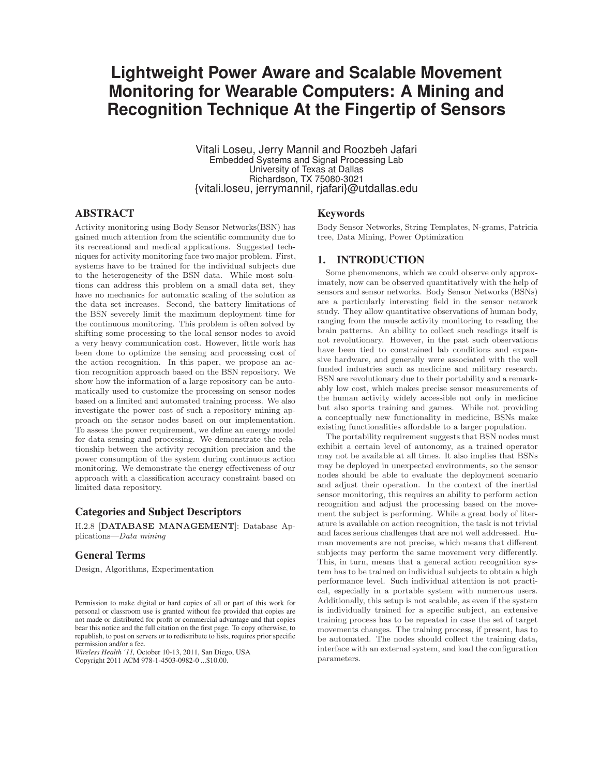# **Lightweight Power Aware and Scalable Movement Monitoring for Wearable Computers: A Mining and Recognition Technique At the Fingertip of Sensors**

Vitali Loseu, Jerry Mannil and Roozbeh Jafari Embedded Systems and Signal Processing Lab University of Texas at Dallas Richardson, TX 75080-3021 {vitali.loseu, jerrymannil, rjafari}@utdallas.edu

# ABSTRACT

Activity monitoring using Body Sensor Networks(BSN) has gained much attention from the scientific community due to its recreational and medical applications. Suggested techniques for activity monitoring face two major problem. First, systems have to be trained for the individual subjects due to the heterogeneity of the BSN data. While most solutions can address this problem on a small data set, they have no mechanics for automatic scaling of the solution as the data set increases. Second, the battery limitations of the BSN severely limit the maximum deployment time for the continuous monitoring. This problem is often solved by shifting some processing to the local sensor nodes to avoid a very heavy communication cost. However, little work has been done to optimize the sensing and processing cost of the action recognition. In this paper, we propose an action recognition approach based on the BSN repository. We show how the information of a large repository can be automatically used to customize the processing on sensor nodes based on a limited and automated training process. We also investigate the power cost of such a repository mining approach on the sensor nodes based on our implementation. To assess the power requirement, we define an energy model for data sensing and processing. We demonstrate the relationship between the activity recognition precision and the power consumption of the system during continuous action monitoring. We demonstrate the energy effectiveness of our approach with a classification accuracy constraint based on limited data repository.

## Categories and Subject Descriptors

H.2.8 [DATABASE MANAGEMENT]: Database Applications—Data mining

#### General Terms

Design, Algorithms, Experimentation

*Wireless Health '11,* October 10-13, 2011, San Diego, USA Copyright 2011 ACM 978-1-4503-0982-0 ...\$10.00.

## Keywords

Body Sensor Networks, String Templates, N-grams, Patricia tree, Data Mining, Power Optimization

#### 1. INTRODUCTION

Some phenomenons, which we could observe only approximately, now can be observed quantitatively with the help of sensors and sensor networks. Body Sensor Networks (BSNs) are a particularly interesting field in the sensor network study. They allow quantitative observations of human body, ranging from the muscle activity monitoring to reading the brain patterns. An ability to collect such readings itself is not revolutionary. However, in the past such observations have been tied to constrained lab conditions and expansive hardware, and generally were associated with the well funded industries such as medicine and military research. BSN are revolutionary due to their portability and a remarkably low cost, which makes precise sensor measurements of the human activity widely accessible not only in medicine but also sports training and games. While not providing a conceptually new functionality in medicine, BSNs make existing functionalities affordable to a larger population.

The portability requirement suggests that BSN nodes must exhibit a certain level of autonomy, as a trained operator may not be available at all times. It also implies that BSNs may be deployed in unexpected environments, so the sensor nodes should be able to evaluate the deployment scenario and adjust their operation. In the context of the inertial sensor monitoring, this requires an ability to perform action recognition and adjust the processing based on the movement the subject is performing. While a great body of literature is available on action recognition, the task is not trivial and faces serious challenges that are not well addressed. Human movements are not precise, which means that different subjects may perform the same movement very differently. This, in turn, means that a general action recognition system has to be trained on individual subjects to obtain a high performance level. Such individual attention is not practical, especially in a portable system with numerous users. Additionally, this setup is not scalable, as even if the system is individually trained for a specific subject, an extensive training process has to be repeated in case the set of target movements changes. The training process, if present, has to be automated. The nodes should collect the training data, interface with an external system, and load the configuration parameters.

Permission to make digital or hard copies of all or part of this work for personal or classroom use is granted without fee provided that copies are not made or distributed for profit or commercial advantage and that copies bear this notice and the full citation on the first page. To copy otherwise, to republish, to post on servers or to redistribute to lists, requires prior specific permission and/or a fee.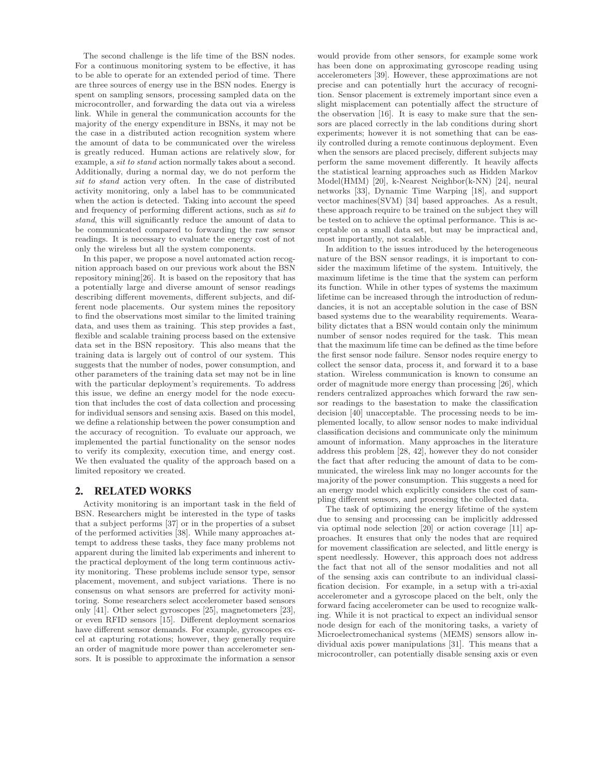The second challenge is the life time of the BSN nodes. For a continuous monitoring system to be effective, it has to be able to operate for an extended period of time. There are three sources of energy use in the BSN nodes. Energy is spent on sampling sensors, processing sampled data on the microcontroller, and forwarding the data out via a wireless link. While in general the communication accounts for the majority of the energy expenditure in BSNs, it may not be the case in a distributed action recognition system where the amount of data to be communicated over the wireless is greatly reduced. Human actions are relatively slow, for example, a sit to stand action normally takes about a second. Additionally, during a normal day, we do not perform the sit to stand action very often. In the case of distributed activity monitoring, only a label has to be communicated when the action is detected. Taking into account the speed and frequency of performing different actions, such as sit to stand, this will significantly reduce the amount of data to be communicated compared to forwarding the raw sensor readings. It is necessary to evaluate the energy cost of not only the wireless but all the system components.

In this paper, we propose a novel automated action recognition approach based on our previous work about the BSN repository mining[26]. It is based on the repository that has a potentially large and diverse amount of sensor readings describing different movements, different subjects, and different node placements. Our system mines the repository to find the observations most similar to the limited training data, and uses them as training. This step provides a fast, flexible and scalable training process based on the extensive data set in the BSN repository. This also means that the training data is largely out of control of our system. This suggests that the number of nodes, power consumption, and other parameters of the training data set may not be in line with the particular deployment's requirements. To address this issue, we define an energy model for the node execution that includes the cost of data collection and processing for individual sensors and sensing axis. Based on this model, we define a relationship between the power consumption and the accuracy of recognition. To evaluate our approach, we implemented the partial functionality on the sensor nodes to verify its complexity, execution time, and energy cost. We then evaluated the quality of the approach based on a limited repository we created.

## 2. RELATED WORKS

Activity monitoring is an important task in the field of BSN. Researchers might be interested in the type of tasks that a subject performs [37] or in the properties of a subset of the performed activities [38]. While many approaches attempt to address these tasks, they face many problems not apparent during the limited lab experiments and inherent to the practical deployment of the long term continuous activity monitoring. These problems include sensor type, sensor placement, movement, and subject variations. There is no consensus on what sensors are preferred for activity monitoring. Some researchers select accelerometer based sensors only [41]. Other select gyroscopes [25], magnetometers [23], or even RFID sensors [15]. Different deployment scenarios have different sensor demands. For example, gyroscopes excel at capturing rotations; however, they generally require an order of magnitude more power than accelerometer sensors. It is possible to approximate the information a sensor

would provide from other sensors, for example some work has been done on approximating gyroscope reading using accelerometers [39]. However, these approximations are not precise and can potentially hurt the accuracy of recognition. Sensor placement is extremely important since even a slight misplacement can potentially affect the structure of the observation [16]. It is easy to make sure that the sensors are placed correctly in the lab conditions during short experiments; however it is not something that can be easily controlled during a remote continuous deployment. Even when the sensors are placed precisely, different subjects may perform the same movement differently. It heavily affects the statistical learning approaches such as Hidden Markov Model(HMM) [20], k-Nearest Neighbor(k-NN) [24], neural networks [33], Dynamic Time Warping [18], and support vector machines(SVM) [34] based approaches. As a result, these approach require to be trained on the subject they will be tested on to achieve the optimal performance. This is acceptable on a small data set, but may be impractical and, most importantly, not scalable.

In addition to the issues introduced by the heterogeneous nature of the BSN sensor readings, it is important to consider the maximum lifetime of the system. Intuitively, the maximum lifetime is the time that the system can perform its function. While in other types of systems the maximum lifetime can be increased through the introduction of redundancies, it is not an acceptable solution in the case of BSN based systems due to the wearability requirements. Wearability dictates that a BSN would contain only the minimum number of sensor nodes required for the task. This mean that the maximum life time can be defined as the time before the first sensor node failure. Sensor nodes require energy to collect the sensor data, process it, and forward it to a base station. Wireless communication is known to consume an order of magnitude more energy than processing [26], which renders centralized approaches which forward the raw sensor readings to the basestation to make the classification decision [40] unacceptable. The processing needs to be implemented locally, to allow sensor nodes to make individual classification decisions and communicate only the minimum amount of information. Many approaches in the literature address this problem [28, 42], however they do not consider the fact that after reducing the amount of data to be communicated, the wireless link may no longer accounts for the majority of the power consumption. This suggests a need for an energy model which explicitly considers the cost of sampling different sensors, and processing the collected data.

The task of optimizing the energy lifetime of the system due to sensing and processing can be implicitly addressed via optimal node selection [20] or action coverage [11] approaches. It ensures that only the nodes that are required for movement classification are selected, and little energy is spent needlessly. However, this approach does not address the fact that not all of the sensor modalities and not all of the sensing axis can contribute to an individual classification decision. For example, in a setup with a tri-axial accelerometer and a gyroscope placed on the belt, only the forward facing accelerometer can be used to recognize walking. While it is not practical to expect an individual sensor node design for each of the monitoring tasks, a variety of Microelectromechanical systems (MEMS) sensors allow individual axis power manipulations [31]. This means that a microcontroller, can potentially disable sensing axis or even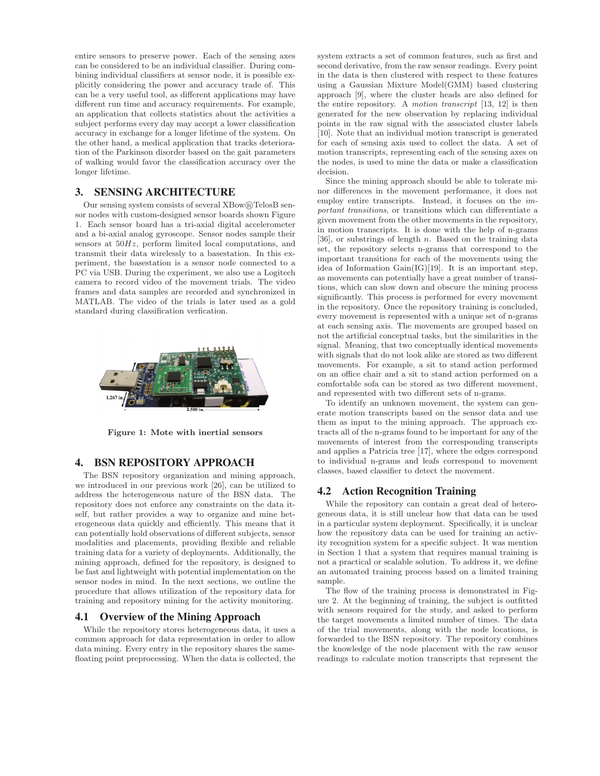entire sensors to preserve power. Each of the sensing axes can be considered to be an individual classifier. During combining individual classifiers at sensor node, it is possible explicitly considering the power and accuracy trade of. This can be a very useful tool, as different applications may have different run time and accuracy requirements. For example, an application that collects statistics about the activities a subject performs every day may accept a lower classification accuracy in exchange for a longer lifetime of the system. On the other hand, a medical application that tracks deterioration of the Parkinson disorder based on the gait parameters of walking would favor the classification accuracy over the longer lifetime.

# 3. SENSING ARCHITECTURE

Our sensing system consists of several XBow ® TelosB sensor nodes with custom-designed sensor boards shown Figure 1. Each sensor board has a tri-axial digital accelerometer and a bi-axial analog gyroscope. Sensor nodes sample their sensors at  $50Hz$ , perform limited local computations, and transmit their data wirelessly to a basestation. In this experiment, the basestation is a sensor node connected to a PC via USB. During the experiment, we also use a Logitech can to record video of the movement trials. The movement trials of the video of the video of the video of the video

| frar | in   |
|------|------|
| MA   | :old |

standard during classification verfication.



Figure 1: Mote with inertial sensors

# 4. BSN REPOSITORY APPROACH

The BSN repository organization and mining approach, we introduced in our previous work [26], can be utilized to address the heterogeneous nature of the BSN data. The repository does not enforce any constraints on the data itself, but rather provides a way to organize and mine heterogeneous data quickly and efficiently. This means that it can potentially hold observations of different subjects, sensor modalities and placements, providing flexible and reliable training data for a variety of deployments. Additionally, the mining approach, defined for the repository, is designed to be fast and lightweight with potential implementation on the sensor nodes in mind. In the next sections, we outline the procedure that allows utilization of the repository data for training and repository mining for the activity monitoring.

#### 4.1 Overview of the Mining Approach

While the repository stores heterogeneous data, it uses a common approach for data representation in order to allow data mining. Every entry in the repository shares the samefloating point preprocessing. When the data is collected, the system extracts a set of common features, such as first and second derivative, from the raw sensor readings. Every point in the data is then clustered with respect to these features using a Gaussian Mixture Model(GMM) based clustering approach [9], where the cluster heads are also defined for the entire repository. A motion transcript [13, 12] is then generated for the new observation by replacing individual points in the raw signal with the associated cluster labels [10]. Note that an individual motion transcript is generated for each of sensing axis used to collect the data. A set of motion transcripts, representing each of the sensing axes on the nodes, is used to mine the data or make a classification decision.

Since the mining approach should be able to tolerate minor differences in the movement performance, it does not employ entire transcripts. Instead, it focuses on the important transitions, or transitions which can differentiate a given movement from the other movements in the repository, in motion transcripts. It is done with the help of n-grams [36], or substrings of length n. Based on the training data set, the repository selects n-grams that correspond to the important transitions for each of the movements using the idea of Information Gain(IG)[19]. It is an important step, as movements can potentially have a great number of transitions, which can slow down and obscure the mining process significantly. This process is performed for every movement in the repository. Once the repository training is concluded, every movement is represented with a unique set of n-grams at each sensing axis. The movements are grouped based on not the artificial conceptual tasks, but the similarities in the signal. Meaning, that two conceptually identical movements with signals that do not look alike are stored as two different movements. For example, a sit to stand action performed on an office chair and a sit to stand action performed on a comfortable sofa can be stored as two different movement, and represented with two different sets of n-grams.

To identify an unknown movement, the system can generate motion transcripts based on the sensor data and use them as input to the mining approach. The approach extracts all of the n-grams found to be important for any of the movements of interest from the corresponding transcripts and applies a Patricia tree [17], where the edges correspond to individual n-grams and leafs correspond to movement classes, based classifier to detect the movement.

#### 4.2 Action Recognition Training

While the repository can contain a great deal of heterogeneous data, it is still unclear how that data can be used in a particular system deployment. Specifically, it is unclear how the repository data can be used for training an activity recognition system for a specific subject. It was mention in Section 1 that a system that requires manual training is not a practical or scalable solution. To address it, we define an automated training process based on a limited training sample.

The flow of the training process is demonstrated in Figure 2. At the beginning of training, the subject is outfitted with sensors required for the study, and asked to perform the target movements a limited number of times. The data of the trial movements, along with the node locations, is forwarded to the BSN repository. The repository combines the knowledge of the node placement with the raw sensor readings to calculate motion transcripts that represent the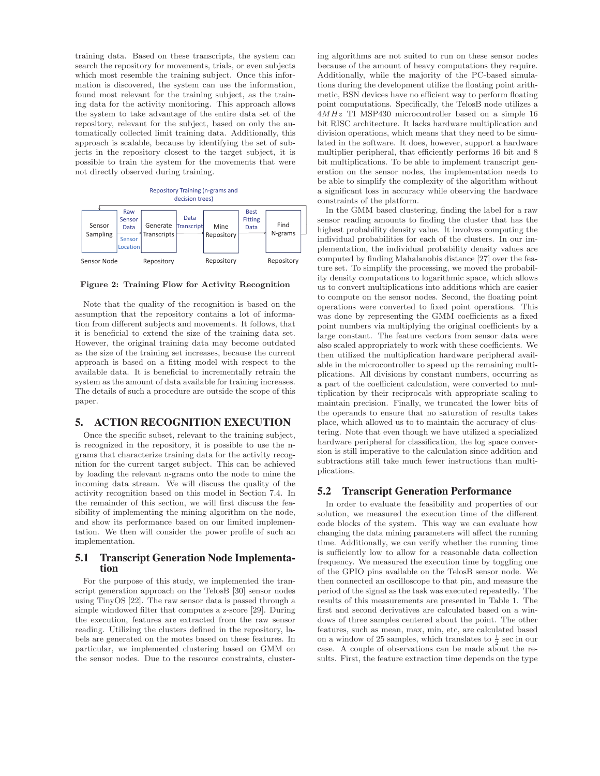training data. Based on these transcripts, the system can search the repository for movements, trials, or even subjects which most resemble the training subject. Once this information is discovered, the system can use the information, found most relevant for the training subject, as the training data for the activity monitoring. This approach allows the system to take advantage of the entire data set of the repository, relevant for the subject, based on only the automatically collected limit training data. Additionally, this approach is scalable, because by identifying the set of subjects in the repository closest to the target subject, it is possible to train the system for the movements that were not directly observed during training.

Repository Training (n-grams and decision trees)

| Sensor<br>Sampling | Raw<br>Sensor<br>Data<br>Sensor<br>Location | Generate<br>Transcripts | Data<br>Transcript | Mine<br>Repository | <b>Best</b><br><b>Fitting</b><br>Data | Find<br>N-grams |  |
|--------------------|---------------------------------------------|-------------------------|--------------------|--------------------|---------------------------------------|-----------------|--|
| Sensor Node        |                                             | Repository              |                    | Repository         |                                       | Repository      |  |

Figure 2: Training Flow for Activity Recognition

Note that the quality of the recognition is based on the assumption that the repository contains a lot of information from different subjects and movements. It follows, that it is beneficial to extend the size of the training data set. However, the original training data may become outdated as the size of the training set increases, because the current approach is based on a fitting model with respect to the available data. It is beneficial to incrementally retrain the system as the amount of data available for training increases. The details of such a procedure are outside the scope of this paper.

#### 5. ACTION RECOGNITION EXECUTION

Once the specific subset, relevant to the training subject, is recognized in the repository, it is possible to use the ngrams that characterize training data for the activity recognition for the current target subject. This can be achieved by loading the relevant n-grams onto the node to mine the incoming data stream. We will discuss the quality of the activity recognition based on this model in Section 7.4. In the remainder of this section, we will first discuss the feasibility of implementing the mining algorithm on the node, and show its performance based on our limited implementation. We then will consider the power profile of such an implementation.

#### 5.1 Transcript Generation Node Implementation

For the purpose of this study, we implemented the transcript generation approach on the TelosB [30] sensor nodes using TinyOS [22]. The raw sensor data is passed through a simple windowed filter that computes a z-score [29]. During the execution, features are extracted from the raw sensor reading. Utilizing the clusters defined in the repository, labels are generated on the motes based on these features. In particular, we implemented clustering based on GMM on the sensor nodes. Due to the resource constraints, cluster-

ing algorithms are not suited to run on these sensor nodes because of the amount of heavy computations they require. Additionally, while the majority of the PC-based simulations during the development utilize the floating point arithmetic, BSN devices have no efficient way to perform floating point computations. Specifically, the TelosB node utilizes a 4MHz TI MSP430 microcontroller based on a simple 16 bit RISC architecture. It lacks hardware multiplication and division operations, which means that they need to be simulated in the software. It does, however, support a hardware multiplier peripheral, that efficiently performs 16 bit and 8 bit multiplications. To be able to implement transcript generation on the sensor nodes, the implementation needs to be able to simplify the complexity of the algorithm without a significant loss in accuracy while observing the hardware constraints of the platform.

In the GMM based clustering, finding the label for a raw sensor reading amounts to finding the cluster that has the highest probability density value. It involves computing the individual probabilities for each of the clusters. In our implementation, the individual probability density values are computed by finding Mahalanobis distance [27] over the feature set. To simplify the processing, we moved the probability density computations to logarithmic space, which allows us to convert multiplications into additions which are easier to compute on the sensor nodes. Second, the floating point operations were converted to fixed point operations. This was done by representing the GMM coefficients as a fixed point numbers via multiplying the original coefficients by a large constant. The feature vectors from sensor data were also scaled appropriately to work with these coefficients. We then utilized the multiplication hardware peripheral available in the microcontroller to speed up the remaining multiplications. All divisions by constant numbers, occurring as a part of the coefficient calculation, were converted to multiplication by their reciprocals with appropriate scaling to maintain precision. Finally, we truncated the lower bits of the operands to ensure that no saturation of results takes place, which allowed us to to maintain the accuracy of clustering. Note that even though we have utilized a specialized hardware peripheral for classification, the log space conversion is still imperative to the calculation since addition and subtractions still take much fewer instructions than multiplications.

## 5.2 Transcript Generation Performance

In order to evaluate the feasibility and properties of our solution, we measured the execution time of the different code blocks of the system. This way we can evaluate how changing the data mining parameters will affect the running time. Additionally, we can verify whether the running time is sufficiently low to allow for a reasonable data collection frequency. We measured the execution time by toggling one of the GPIO pins available on the TelosB sensor node. We then connected an oscilloscope to that pin, and measure the period of the signal as the task was executed repeatedly. The results of this measurements are presented in Table 1. The first and second derivatives are calculated based on a windows of three samples centered about the point. The other features, such as mean, max, min, etc, are calculated based on a window of 25 samples, which translates to  $\frac{1}{2}$  sec in our case. A couple of observations can be made about the results. First, the feature extraction time depends on the type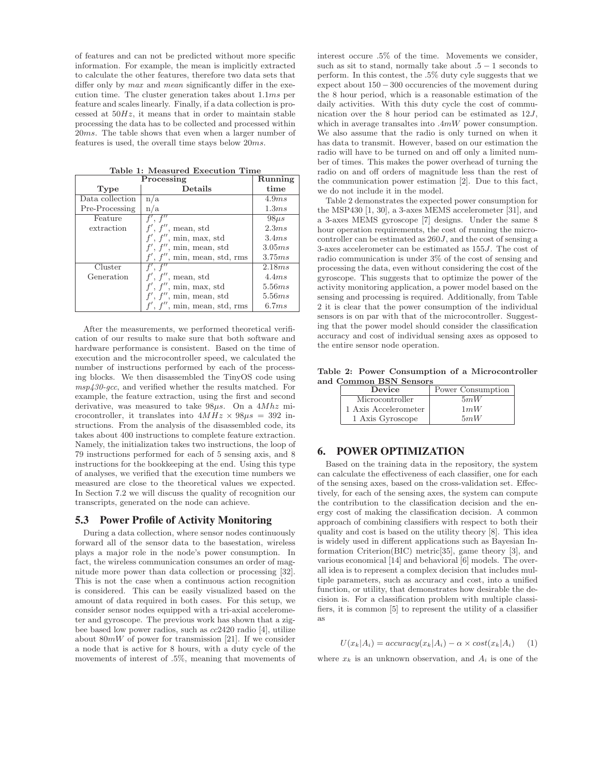of features and can not be predicted without more specific information. For example, the mean is implicitly extracted to calculate the other features, therefore two data sets that differ only by *max* and *mean* significantly differ in the execution time. The cluster generation takes about 1.1ms per feature and scales linearly. Finally, if a data collection is processed at  $50Hz$ , it means that in order to maintain stable processing the data has to be collected and processed within 20ms. The table shows that even when a larger number of features is used, the overall time stays below 20ms.

| Processing      |                                                            | Running   |
|-----------------|------------------------------------------------------------|-----------|
| Type            | Details                                                    | time      |
| Data collection | n/a                                                        | 4.9ms     |
| Pre-Processing  | n/a                                                        | 1.3ms     |
| Feature         |                                                            | $98\mu s$ |
| extraction      | $f', f'',$ mean, std                                       | 2.3ms     |
|                 | $f', f'', \min, \max, std$                                 | 3.4ms     |
|                 | $f', f'', \text{min}, \text{mean}, \text{std}$             | 3.05ms    |
|                 | $f', f'', \text{min}, \text{mean}, \text{std}, \text{rms}$ | 3.75ms    |
| Cluster         |                                                            | 2.18ms    |
| Generation      | $f', f'',$ mean, std                                       | 4.4ms     |
|                 | $f', f'', \text{min}, \text{max}, \text{std}$              | 5.56ms    |
|                 | $f', f'', \text{min}, \text{mean}, \text{std}$             | 5.56ms    |
|                 | $f', f'', \text{min}, \text{mean}, \text{std}, \text{rms}$ | 6.7ms     |

Table 1: Measured Execution Time

After the measurements, we performed theoretical verification of our results to make sure that both software and hardware performance is consistent. Based on the time of execution and the microcontroller speed, we calculated the number of instructions performed by each of the processing blocks. We then disassembled the TinyOS code using msp430-gcc, and verified whether the results matched. For example, the feature extraction, using the first and second derivative, was measured to take  $98\mu s$ . On a  $4Mhz$  microcontroller, it translates into  $4MHz \times 98\mu s = 392$  instructions. From the analysis of the disassembled code, its takes about 400 instructions to complete feature extraction. Namely, the initialization takes two instructions, the loop of 79 instructions performed for each of 5 sensing axis, and 8 instructions for the bookkeeping at the end. Using this type of analyses, we verified that the execution time numbers we measured are close to the theoretical values we expected. In Section 7.2 we will discuss the quality of recognition our transcripts, generated on the node can achieve.

#### 5.3 Power Profile of Activity Monitoring

During a data collection, where sensor nodes continuously forward all of the sensor data to the basestation, wireless plays a major role in the node's power consumption. In fact, the wireless communication consumes an order of magnitude more power than data collection or processing [32]. This is not the case when a continuous action recognition is considered. This can be easily visualized based on the amount of data required in both cases. For this setup, we consider sensor nodes equipped with a tri-axial accelerometer and gyroscope. The previous work has shown that a zigbee based low power radios, such as cc2420 radio [4], utilize about  $80mW$  of power for transmission [21]. If we consider a node that is active for 8 hours, with a duty cycle of the movements of interest of .5%, meaning that movements of

interest occure .5% of the time. Movements we consider, such as sit to stand, normally take about  $.5 - 1$  seconds to perform. In this contest, the .5% duty cyle suggests that we expect about 150 − 300 occurencies of the movement during the 8 hour period, which is a reasonable estimation of the daily activities. With this duty cycle the cost of communication over the  $8$  hour period can be estimated as  $12J$ , which in average transaltes into  $.4mW$  power consumption. We also assume that the radio is only turned on when it has data to transmit. However, based on our estimation the radio will have to be turned on and off only a limited number of times. This makes the power overhead of turning the radio on and off orders of magnitude less than the rest of the communication power estimation [2]. Due to this fact, we do not include it in the model.

Table 2 demonstrates the expected power consumption for the MSP430 [1, 30], a 3-axes MEMS accelerometer [31], and a 3-axes MEMS gyroscope [7] designs. Under the same 8 hour operation requirements, the cost of running the microcontroller can be estimated as 260J, and the cost of sensing a 3-axes accelerometer can be estimated as 155J. The cost of radio communication is under 3% of the cost of sensing and processing the data, even without considering the cost of the gyroscope. This suggests that to optimize the power of the activity monitoring application, a power model based on the sensing and processing is required. Additionally, from Table 2 it is clear that the power consumption of the individual sensors is on par with that of the microcontroller. Suggesting that the power model should consider the classification accuracy and cost of individual sensing axes as opposed to the entire sensor node operation.

Table 2: Power Consumption of a Microcontroller and Common BSN Sensors

| Device               | Power Consumption |
|----------------------|-------------------|
| Microcontroller      | 5mW               |
| 1 Axis Accelerometer | 1mW               |
| 1 Axis Gyroscope     | 5mW               |

# 6. POWER OPTIMIZATION

Based on the training data in the repository, the system can calculate the effectiveness of each classifier, one for each of the sensing axes, based on the cross-validation set. Effectively, for each of the sensing axes, the system can compute the contribution to the classification decision and the energy cost of making the classification decision. A common approach of combining classifiers with respect to both their quality and cost is based on the utility theory [8]. This idea is widely used in different applications such as Bayesian Information Criterion(BIC) metric[35], game theory [3], and various economical [14] and behavioral [6] models. The overall idea is to represent a complex decision that includes multiple parameters, such as accuracy and cost, into a unified function, or utility, that demonstrates how desirable the decision is. For a classification problem with multiple classifiers, it is common [5] to represent the utility of a classifier as

$$
U(x_k|A_i) = accuracy(x_k|A_i) - \alpha \times cost(x_k|A_i)
$$
 (1)

where  $x_k$  is an unknown observation, and  $A_i$  is one of the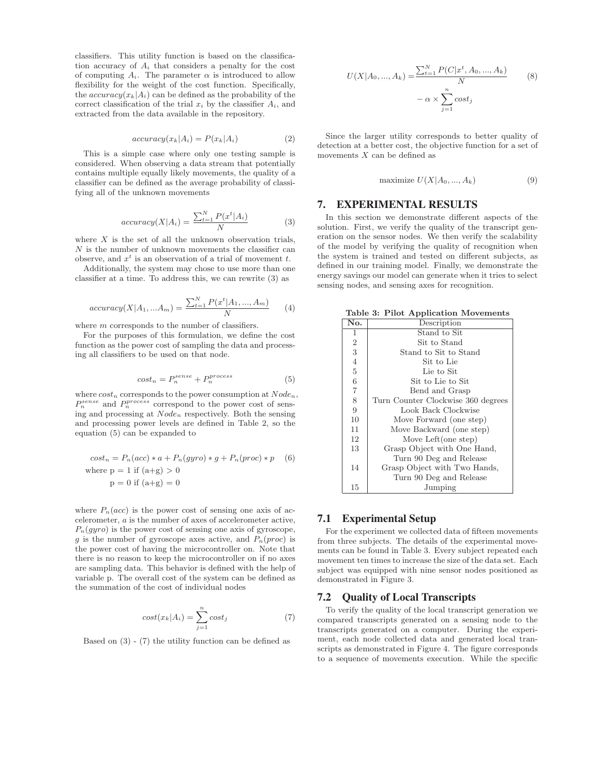classifiers. This utility function is based on the classification accuracy of  $A_i$  that considers a penalty for the cost of computing  $A_i$ . The parameter  $\alpha$  is introduced to allow flexibility for the weight of the cost function. Specifically, the  $accuracy(x_k|A_i)$  can be defined as the probability of the correct classification of the trial  $x_i$  by the classifier  $A_i$ , and extracted from the data available in the repository.

$$
accuracy(x_k|A_i) = P(x_k|A_i)
$$
\n(2)

This is a simple case where only one testing sample is considered. When observing a data stream that potentially contains multiple equally likely movements, the quality of a classifier can be defined as the average probability of classifying all of the unknown movements

$$
accuracy(X|A_i) = \frac{\sum_{t=1}^{N} P(x^t|A_i)}{N}
$$
 (3)

where  $X$  is the set of all the unknown observation trials,  $N$  is the number of unknown movements the classifier can observe, and  $x^t$  is an observation of a trial of movement t.

Additionally, the system may chose to use more than one classifier at a time. To address this, we can rewrite (3) as

$$
accuracy(X|A_1, ... A_m) = \frac{\sum_{t=1}^{N} P(x^t | A_1, ..., A_m)}{N}
$$
 (4)

where *m* corresponds to the number of classifiers.

For the purposes of this formulation, we define the cost function as the power cost of sampling the data and processing all classifiers to be used on that node.

$$
cost_n = P_n^{sense} + P_n^{process}
$$
\n<sup>(5)</sup>

where  $cost_n$  corresponds to the power consumption at  $Node_n$ ,  $P_n^{sense}$  and  $P_n^{process}$  correspond to the power cost of sensing and processing at  $Node_n$  respectively. Both the sensing and processing power levels are defined in Table 2, so the equation (5) can be expanded to

$$
costn = Pn(acc) * a + Pn(gyro) * g + Pn(proc) * p
$$
 (6)  
where p = 1 if (a+g) > 0  
p = 0 if (a+g) = 0

where  $P_n(ac)$  is the power cost of sensing one axis of accelerometer, a is the number of axes of accelerometer active,  $P_n(gyro)$  is the power cost of sensing one axis of gyroscope, g is the number of gyroscope axes active, and  $P_n(proc)$  is the power cost of having the microcontroller on. Note that there is no reason to keep the microcontroller on if no axes are sampling data. This behavior is defined with the help of variable p. The overall cost of the system can be defined as the summation of the cost of individual nodes

$$
cost(x_k|A_i) = \sum_{j=1}^{n} cost_j \tag{7}
$$

Based on  $(3)$  -  $(7)$  the utility function can be defined as

$$
U(X|A_0, ..., A_k) = \frac{\sum_{t=1}^{N} P(C|x^t, A_0, ..., A_k)}{N}
$$

$$
- \alpha \times \sum_{j=1}^{n} cost_j
$$
(8)

Since the larger utility corresponds to better quality of detection at a better cost, the objective function for a set of movements  $X$  can be defined as

$$
\text{maximize } U(X|A_0, ..., A_k) \tag{9}
$$

## 7. EXPERIMENTAL RESULTS

In this section we demonstrate different aspects of the solution. First, we verify the quality of the transcript generation on the sensor nodes. We then verify the scalability of the model by verifying the quality of recognition when the system is trained and tested on different subjects, as defined in our training model. Finally, we demonstrate the energy savings our model can generate when it tries to select sensing nodes, and sensing axes for recognition.

Table 3: Pilot Application Movements

| rapic of r not repondend information |                                    |  |  |
|--------------------------------------|------------------------------------|--|--|
| No.                                  | Description                        |  |  |
| 1                                    | Stand to Sit                       |  |  |
| $\overline{2}$                       | Sit to Stand                       |  |  |
| 3                                    | Stand to Sit to Stand              |  |  |
| $\overline{4}$                       | Sit to Lie                         |  |  |
| $\bf 5$                              | Lie to Sit                         |  |  |
| $\boldsymbol{6}$                     | Sit to Lie to Sit                  |  |  |
| $\overline{7}$                       | Bend and Grasp                     |  |  |
| 8                                    | Turn Counter Clockwise 360 degrees |  |  |
| 9                                    | Look Back Clockwise                |  |  |
| 10                                   | Move Forward (one step)            |  |  |
| 11                                   | Move Backward (one step)           |  |  |
| 12                                   | Move Left(one step)                |  |  |
| 13                                   | Grasp Object with One Hand,        |  |  |
|                                      | Turn 90 Deg and Release            |  |  |
| 14                                   | Grasp Object with Two Hands,       |  |  |
|                                      | Turn 90 Deg and Release            |  |  |
| 15                                   | Jumping                            |  |  |

#### 7.1 Experimental Setup

For the experiment we collected data of fifteen movements from three subjects. The details of the experimental movements can be found in Table 3. Every subject repeated each movement ten times to increase the size of the data set. Each subject was equipped with nine sensor nodes positioned as demonstrated in Figure 3.

# 7.2 Quality of Local Transcripts

To verify the quality of the local transcript generation we compared transcripts generated on a sensing node to the transcripts generated on a computer. During the experiment, each node collected data and generated local transcripts as demonstrated in Figure 4. The figure corresponds to a sequence of movements execution. While the specific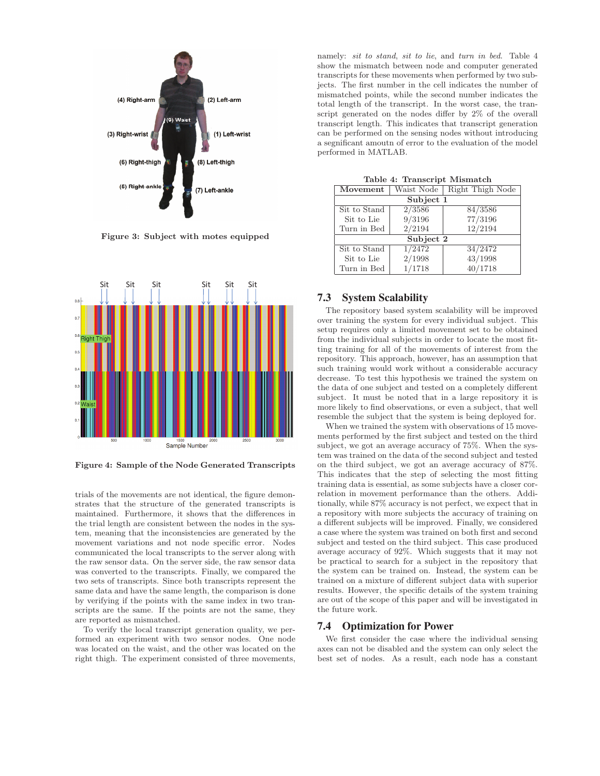

Figure 3: Subject with motes equipped



Figure 4: Sample of the Node Generated Transcripts

trials of the movements are not identical, the figure demonstrates that the structure of the generated transcripts is maintained. Furthermore, it shows that the differences in the trial length are consistent between the nodes in the system, meaning that the inconsistencies are generated by the movement variations and not node specific error. Nodes communicated the local transcripts to the server along with the raw sensor data. On the server side, the raw sensor data was converted to the transcripts. Finally, we compared the two sets of transcripts. Since both transcripts represent the same data and have the same length, the comparison is done by verifying if the points with the same index in two transcripts are the same. If the points are not the same, they are reported as mismatched.

To verify the local transcript generation quality, we performed an experiment with two sensor nodes. One node was located on the waist, and the other was located on the right thigh. The experiment consisted of three movements,

namely: *sit to stand, sit to lie, and turn in bed.* Table 4 show the mismatch between node and computer generated transcripts for these movements when performed by two subjects. The first number in the cell indicates the number of mismatched points, while the second number indicates the total length of the transcript. In the worst case, the transcript generated on the nodes differ by 2% of the overall transcript length. This indicates that transcript generation can be performed on the sensing nodes without introducing a segnificant amoutn of error to the evaluation of the model performed in MATLAB.

| Table 4: Transcript Mismatch |            |                  |  |  |
|------------------------------|------------|------------------|--|--|
| Movement                     | Waist Node | Right Thigh Node |  |  |
|                              | Subject 1  |                  |  |  |
| Sit to Stand                 | 2/3586     | 84/3586          |  |  |
| Sit to Lie                   | 9/3196     | 77/3196          |  |  |
| Turn in Bed                  | 2/2194     | 12/2194          |  |  |
| Subject 2                    |            |                  |  |  |
| Sit to Stand                 | 1/2472     | 34/2472          |  |  |
| Sit to Lie                   | 2/1998     | 43/1998          |  |  |
| Turn in Bed                  | 1/1718     | 40/1718          |  |  |

Table 4: Transcript Mismatch

# 7.3 System Scalability

The repository based system scalability will be improved over training the system for every individual subject. This setup requires only a limited movement set to be obtained from the individual subjects in order to locate the most fitting training for all of the movements of interest from the repository. This approach, however, has an assumption that such training would work without a considerable accuracy decrease. To test this hypothesis we trained the system on the data of one subject and tested on a completely different subject. It must be noted that in a large repository it is more likely to find observations, or even a subject, that well resemble the subject that the system is being deployed for.

When we trained the system with observations of 15 movements performed by the first subject and tested on the third subject, we got an average accuracy of 75%. When the system was trained on the data of the second subject and tested on the third subject, we got an average accuracy of 87%. This indicates that the step of selecting the most fitting training data is essential, as some subjects have a closer correlation in movement performance than the others. Additionally, while 87% accuracy is not perfect, we expect that in a repository with more subjects the accuracy of training on a different subjects will be improved. Finally, we considered a case where the system was trained on both first and second subject and tested on the third subject. This case produced average accuracy of 92%. Which suggests that it may not be practical to search for a subject in the repository that the system can be trained on. Instead, the system can be trained on a mixture of different subject data with superior results. However, the specific details of the system training are out of the scope of this paper and will be investigated in the future work.

#### 7.4 Optimization for Power

We first consider the case where the individual sensing axes can not be disabled and the system can only select the best set of nodes. As a result, each node has a constant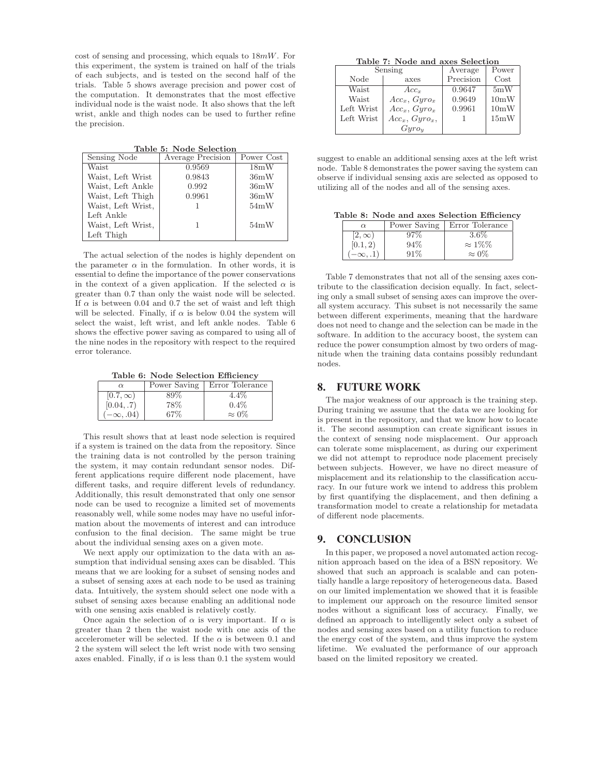cost of sensing and processing, which equals to  $18mW$ . For this experiment, the system is trained on half of the trials of each subjects, and is tested on the second half of the trials. Table 5 shows average precision and power cost of the computation. It demonstrates that the most effective individual node is the waist node. It also shows that the left wrist, ankle and thigh nodes can be used to further refine the precision.

Table 5: Node Selection

| Sensing Node       | Average Precision | Power Cost     |
|--------------------|-------------------|----------------|
| Waist              | 0.9569            | 18mW           |
| Waist, Left Wrist  | 0.9843            | 36mW           |
| Waist, Left Ankle  | 0.992             | 36mW           |
| Waist, Left Thigh  | 0.9961            | 36mW           |
| Waist, Left Wrist, |                   | $54 \text{mW}$ |
| Left Ankle         |                   |                |
| Waist, Left Wrist, |                   | $54 \text{mW}$ |
| Left Thigh         |                   |                |

The actual selection of the nodes is highly dependent on the parameter  $\alpha$  in the formulation. In other words, it is essential to define the importance of the power conservations in the context of a given application. If the selected  $\alpha$  is greater than 0.7 than only the waist node will be selected. If  $\alpha$  is between 0.04 and 0.7 the set of waist and left thigh will be selected. Finally, if  $\alpha$  is below 0.04 the system will select the waist, left wrist, and left ankle nodes. Table 6 shows the effective power saving as compared to using all of the nine nodes in the repository with respect to the required error tolerance.

Table 6: Node Selection Efficiency

| $\alpha$         | Power Saving | Error Tolerance |
|------------------|--------------|-----------------|
| $[0.7,\infty)$   | 89%          | $4.4\%$         |
| [0.04, .7)       | 78%          | $0.4\%$         |
| $(-\infty, .04)$ | 67%          | $\approx 0\%$   |

This result shows that at least node selection is required if a system is trained on the data from the repository. Since the training data is not controlled by the person training the system, it may contain redundant sensor nodes. Different applications require different node placement, have different tasks, and require different levels of redundancy. Additionally, this result demonstrated that only one sensor node can be used to recognize a limited set of movements reasonably well, while some nodes may have no useful information about the movements of interest and can introduce confusion to the final decision. The same might be true about the individual sensing axes on a given mote.

We next apply our optimization to the data with an assumption that individual sensing axes can be disabled. This means that we are looking for a subset of sensing nodes and a subset of sensing axes at each node to be used as training data. Intuitively, the system should select one node with a subset of sensing axes because enabling an additional node with one sensing axis enabled is relatively costly.

Once again the selection of  $\alpha$  is very important. If  $\alpha$  is greater than 2 then the waist node with one axis of the accelerometer will be selected. If the  $\alpha$  is between 0.1 and 2 the system will select the left wrist node with two sensing axes enabled. Finally, if  $\alpha$  is less than 0.1 the system would

Table 7: Node and axes Selection

| Sensing      |                      | Average   | Power |
|--------------|----------------------|-----------|-------|
| Node         | axes                 | Precision | Cost  |
| <b>Waist</b> | $Acc_r$              | 0.9647    | 5mW   |
| Waist        | $Acc_x$ , $Gyro_x$   | 0.9649    | 10mW  |
| Left Wrist   | $Acc_x$ , $Gyro_x$   | 0.9961    | 10mW  |
| Left Wrist   | $Acc_x$ , $Gyro_x$ , |           | 15mW  |
|              | $Guro_{u}$           |           |       |

suggest to enable an additional sensing axes at the left wrist node. Table 8 demonstrates the power saving the system can observe if individual sensing axis are selected as opposed to utilizing all of the nodes and all of the sensing axes.

Table 8: Node and axes Selection Efficiency

| $\alpha$     | Power Saving | Error Tolerance |
|--------------|--------------|-----------------|
| $ 2,\infty)$ |              | $3.6\%$         |
| [0.1, 2)     | 94%          | $\approx 1\%$ % |
|              | 91%          | $\approx 0\%$   |

Table 7 demonstrates that not all of the sensing axes contribute to the classification decision equally. In fact, selecting only a small subset of sensing axes can improve the overall system accuracy. This subset is not necessarily the same between different experiments, meaning that the hardware does not need to change and the selection can be made in the software. In addition to the accuracy boost, the system can reduce the power consumption almost by two orders of magnitude when the training data contains possibly redundant nodes.

#### 8. FUTURE WORK

The major weakness of our approach is the training step. During training we assume that the data we are looking for is present in the repository, and that we know how to locate it. The second assumption can create significant issues in the context of sensing node misplacement. Our approach can tolerate some misplacement, as during our experiment we did not attempt to reproduce node placement precisely between subjects. However, we have no direct measure of misplacement and its relationship to the classification accuracy. In our future work we intend to address this problem by first quantifying the displacement, and then defining a transformation model to create a relationship for metadata of different node placements.

#### 9. CONCLUSION

In this paper, we proposed a novel automated action recognition approach based on the idea of a BSN repository. We showed that such an approach is scalable and can potentially handle a large repository of heterogeneous data. Based on our limited implementation we showed that it is feasible to implement our approach on the resource limited sensor nodes without a significant loss of accuracy. Finally, we defined an approach to intelligently select only a subset of nodes and sensing axes based on a utility function to reduce the energy cost of the system, and thus improve the system lifetime. We evaluated the performance of our approach based on the limited repository we created.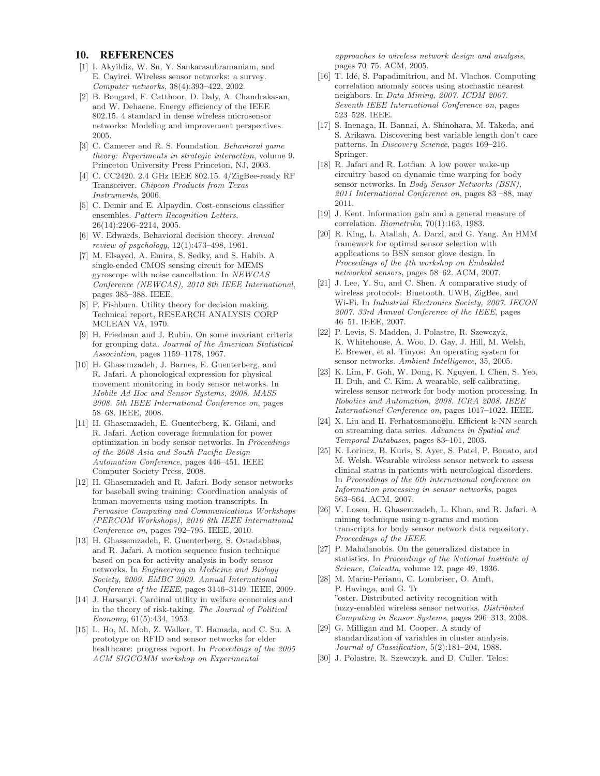## 10. REFERENCES

- [1] I. Akyildiz, W. Su, Y. Sankarasubramaniam, and E. Cayirci. Wireless sensor networks: a survey. Computer networks, 38(4):393–422, 2002.
- [2] B. Bougard, F. Catthoor, D. Daly, A. Chandrakasan, and W. Dehaene. Energy efficiency of the IEEE 802.15. 4 standard in dense wireless microsensor networks: Modeling and improvement perspectives. 2005.
- [3] C. Camerer and R. S. Foundation. Behavioral game theory: Experiments in strategic interaction, volume 9. Princeton University Press Princeton, NJ, 2003.
- [4] C. CC2420. 2.4 GHz IEEE 802.15. 4/ZigBee-ready RF Transceiver. Chipcon Products from Texas Instruments, 2006.
- [5] C. Demir and E. Alpaydin. Cost-conscious classifier ensembles. Pattern Recognition Letters, 26(14):2206–2214, 2005.
- [6] W. Edwards. Behavioral decision theory. Annual review of psychology, 12(1):473–498, 1961.
- [7] M. Elsayed, A. Emira, S. Sedky, and S. Habib. A single-ended CMOS sensing circuit for MEMS gyroscope with noise cancellation. In NEWCAS Conference (NEWCAS), 2010 8th IEEE International, pages 385–388. IEEE.
- [8] P. Fishburn. Utility theory for decision making. Technical report, RESEARCH ANALYSIS CORP MCLEAN VA, 1970.
- [9] H. Friedman and J. Rubin. On some invariant criteria for grouping data. Journal of the American Statistical Association, pages 1159–1178, 1967.
- [10] H. Ghasemzadeh, J. Barnes, E. Guenterberg, and R. Jafari. A phonological expression for physical movement monitoring in body sensor networks. In Mobile Ad Hoc and Sensor Systems, 2008. MASS 2008. 5th IEEE International Conference on, pages 58–68. IEEE, 2008.
- [11] H. Ghasemzadeh, E. Guenterberg, K. Gilani, and R. Jafari. Action coverage formulation for power optimization in body sensor networks. In Proceedings of the 2008 Asia and South Pacific Design Automation Conference, pages 446–451. IEEE Computer Society Press, 2008.
- [12] H. Ghasemzadeh and R. Jafari. Body sensor networks for baseball swing training: Coordination analysis of human movements using motion transcripts. In Pervasive Computing and Communications Workshops (PERCOM Workshops), 2010 8th IEEE International Conference on, pages 792–795. IEEE, 2010.
- [13] H. Ghassemzadeh, E. Guenterberg, S. Ostadabbas, and R. Jafari. A motion sequence fusion technique based on pca for activity analysis in body sensor networks. In Engineering in Medicine and Biology Society, 2009. EMBC 2009. Annual International Conference of the IEEE, pages 3146–3149. IEEE, 2009.
- [14] J. Harsanyi. Cardinal utility in welfare economics and in the theory of risk-taking. The Journal of Political Economy, 61(5):434, 1953.
- [15] L. Ho, M. Moh, Z. Walker, T. Hamada, and C. Su. A prototype on RFID and sensor networks for elder healthcare: progress report. In Proceedings of the 2005 ACM SIGCOMM workshop on Experimental

approaches to wireless network design and analysis, pages 70–75. ACM, 2005.

- [16] T. Idé, S. Papadimitriou, and M. Vlachos. Computing correlation anomaly scores using stochastic nearest neighbors. In Data Mining, 2007. ICDM 2007. Seventh IEEE International Conference on, pages 523–528. IEEE.
- [17] S. Inenaga, H. Bannai, A. Shinohara, M. Takeda, and S. Arikawa. Discovering best variable length don't care patterns. In Discovery Science, pages 169–216. Springer.
- [18] R. Jafari and R. Lotfian. A low power wake-up circuitry based on dynamic time warping for body sensor networks. In Body Sensor Networks (BSN), 2011 International Conference on, pages 83 –88, may 2011.
- [19] J. Kent. Information gain and a general measure of correlation. Biometrika, 70(1):163, 1983.
- [20] R. King, L. Atallah, A. Darzi, and G. Yang. An HMM framework for optimal sensor selection with applications to BSN sensor glove design. In Proceedings of the 4th workshop on Embedded networked sensors, pages 58–62. ACM, 2007.
- [21] J. Lee, Y. Su, and C. Shen. A comparative study of wireless protocols: Bluetooth, UWB, ZigBee, and Wi-Fi. In Industrial Electronics Society, 2007. IECON 2007. 33rd Annual Conference of the IEEE, pages 46–51. IEEE, 2007.
- [22] P. Levis, S. Madden, J. Polastre, R. Szewczyk, K. Whitehouse, A. Woo, D. Gay, J. Hill, M. Welsh, E. Brewer, et al. Tinyos: An operating system for sensor networks. Ambient Intelligence, 35, 2005.
- [23] K. Lim, F. Goh, W. Dong, K. Nguyen, I. Chen, S. Yeo, H. Duh, and C. Kim. A wearable, self-calibrating, wireless sensor network for body motion processing. In Robotics and Automation, 2008. ICRA 2008. IEEE International Conference on, pages 1017–1022. IEEE.
- [24] X. Liu and H. Ferhatosmanoğlu. Efficient k-NN search on streaming data series. Advances in Spatial and Temporal Databases, pages 83–101, 2003.
- [25] K. Lorincz, B. Kuris, S. Ayer, S. Patel, P. Bonato, and M. Welsh. Wearable wireless sensor network to assess clinical status in patients with neurological disorders. In Proceedings of the 6th international conference on Information processing in sensor networks, pages 563–564. ACM, 2007.
- [26] V. Loseu, H. Ghasemzadeh, L. Khan, and R. Jafari. A mining technique using n-grams and motion transcripts for body sensor network data repository. Proceedings of the IEEE.
- [27] P. Mahalanobis. On the generalized distance in statistics. In Proceedings of the National Institute of Science, Calcutta, volume 12, page 49, 1936.
- [28] M. Marin-Perianu, C. Lombriser, O. Amft, P. Havinga, and G. Tr "oster. Distributed activity recognition with fuzzy-enabled wireless sensor networks. Distributed Computing in Sensor Systems, pages 296–313, 2008.
- [29] G. Milligan and M. Cooper. A study of standardization of variables in cluster analysis. Journal of Classification, 5(2):181–204, 1988.
- [30] J. Polastre, R. Szewczyk, and D. Culler. Telos: